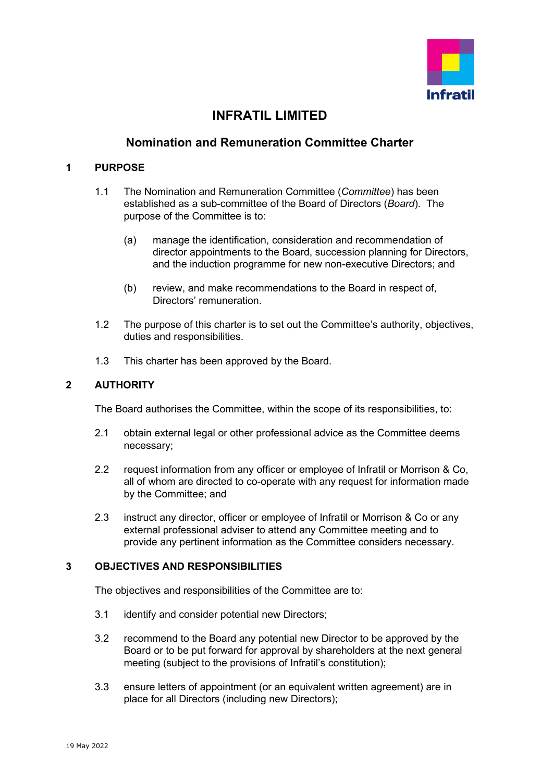

# **INFRATIL LIMITED**

## **Nomination and Remuneration Committee Charter**

#### **1 PURPOSE**

- 1.1 The Nomination and Remuneration Committee (*Committee*) has been established as a sub-committee of the Board of Directors (*Board*). The purpose of the Committee is to:
	- (a) manage the identification, consideration and recommendation of director appointments to the Board, succession planning for Directors, and the induction programme for new non-executive Directors; and
	- (b) review, and make recommendations to the Board in respect of, Directors' remuneration.
- 1.2 The purpose of this charter is to set out the Committee's authority, objectives, duties and responsibilities.
- 1.3 This charter has been approved by the Board.

### **2 AUTHORITY**

The Board authorises the Committee, within the scope of its responsibilities, to:

- 2.1 obtain external legal or other professional advice as the Committee deems necessary;
- 2.2 request information from any officer or employee of Infratil or Morrison & Co, all of whom are directed to co-operate with any request for information made by the Committee; and
- 2.3 instruct any director, officer or employee of Infratil or Morrison & Co or any external professional adviser to attend any Committee meeting and to provide any pertinent information as the Committee considers necessary.

#### **3 OBJECTIVES AND RESPONSIBILITIES**

The objectives and responsibilities of the Committee are to:

- 3.1 identify and consider potential new Directors;
- 3.2 recommend to the Board any potential new Director to be approved by the Board or to be put forward for approval by shareholders at the next general meeting (subject to the provisions of Infratil's constitution);
- 3.3 ensure letters of appointment (or an equivalent written agreement) are in place for all Directors (including new Directors);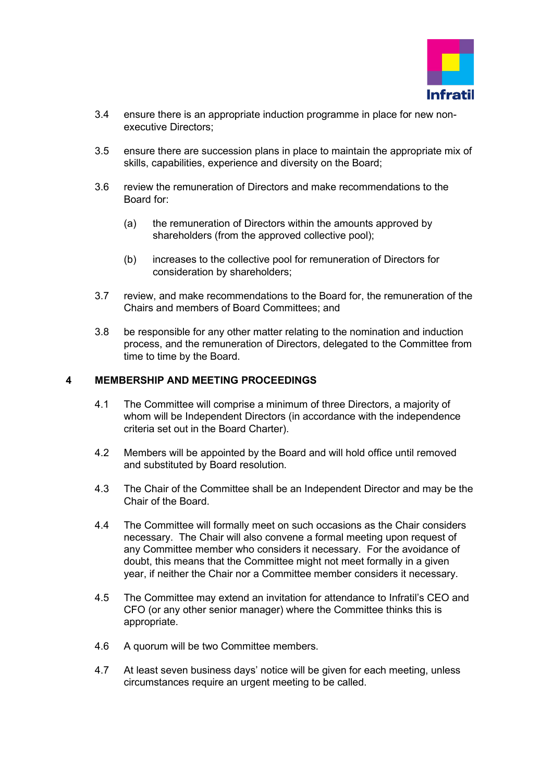

- 3.4 ensure there is an appropriate induction programme in place for new nonexecutive Directors;
- 3.5 ensure there are succession plans in place to maintain the appropriate mix of skills, capabilities, experience and diversity on the Board;
- 3.6 review the remuneration of Directors and make recommendations to the Board for:
	- (a) the remuneration of Directors within the amounts approved by shareholders (from the approved collective pool);
	- (b) increases to the collective pool for remuneration of Directors for consideration by shareholders;
- 3.7 review, and make recommendations to the Board for, the remuneration of the Chairs and members of Board Committees; and
- 3.8 be responsible for any other matter relating to the nomination and induction process, and the remuneration of Directors, delegated to the Committee from time to time by the Board.

#### **4 MEMBERSHIP AND MEETING PROCEEDINGS**

- 4.1 The Committee will comprise a minimum of three Directors, a majority of whom will be Independent Directors (in accordance with the independence criteria set out in the Board Charter).
- 4.2 Members will be appointed by the Board and will hold office until removed and substituted by Board resolution.
- 4.3 The Chair of the Committee shall be an Independent Director and may be the Chair of the Board.
- 4.4 The Committee will formally meet on such occasions as the Chair considers necessary. The Chair will also convene a formal meeting upon request of any Committee member who considers it necessary. For the avoidance of doubt, this means that the Committee might not meet formally in a given year, if neither the Chair nor a Committee member considers it necessary.
- 4.5 The Committee may extend an invitation for attendance to Infratil's CEO and CFO (or any other senior manager) where the Committee thinks this is appropriate.
- 4.6 A quorum will be two Committee members.
- 4.7 At least seven business days' notice will be given for each meeting, unless circumstances require an urgent meeting to be called.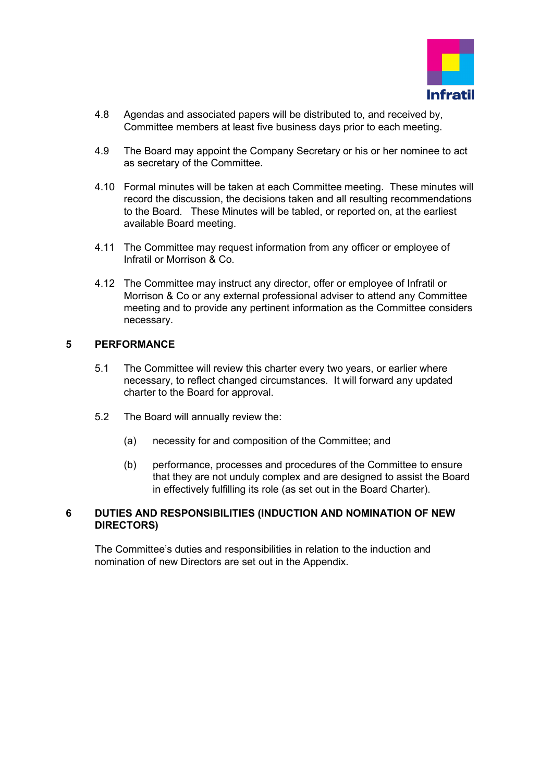

- 4.8 Agendas and associated papers will be distributed to, and received by, Committee members at least five business days prior to each meeting.
- 4.9 The Board may appoint the Company Secretary or his or her nominee to act as secretary of the Committee.
- 4.10 Formal minutes will be taken at each Committee meeting. These minutes will record the discussion, the decisions taken and all resulting recommendations to the Board. These Minutes will be tabled, or reported on, at the earliest available Board meeting.
- 4.11 The Committee may request information from any officer or employee of Infratil or Morrison & Co.
- 4.12 The Committee may instruct any director, offer or employee of Infratil or Morrison & Co or any external professional adviser to attend any Committee meeting and to provide any pertinent information as the Committee considers necessary.

#### **5 PERFORMANCE**

- 5.1 The Committee will review this charter every two years, or earlier where necessary, to reflect changed circumstances. It will forward any updated charter to the Board for approval.
- 5.2 The Board will annually review the:
	- (a) necessity for and composition of the Committee; and
	- (b) performance, processes and procedures of the Committee to ensure that they are not unduly complex and are designed to assist the Board in effectively fulfilling its role (as set out in the Board Charter).

#### **6 DUTIES AND RESPONSIBILITIES (INDUCTION AND NOMINATION OF NEW DIRECTORS)**

The Committee's duties and responsibilities in relation to the induction and nomination of new Directors are set out in the Appendix.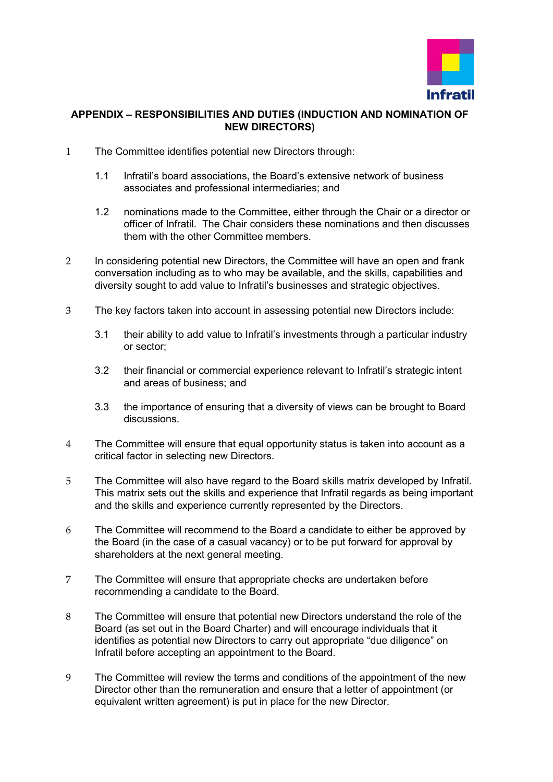

#### **APPENDIX – RESPONSIBILITIES AND DUTIES (INDUCTION AND NOMINATION OF NEW DIRECTORS)**

- 1 The Committee identifies potential new Directors through:
	- 1.1 Infratil's board associations, the Board's extensive network of business associates and professional intermediaries; and
	- 1.2 nominations made to the Committee, either through the Chair or a director or officer of Infratil. The Chair considers these nominations and then discusses them with the other Committee members.
- 2 In considering potential new Directors, the Committee will have an open and frank conversation including as to who may be available, and the skills, capabilities and diversity sought to add value to Infratil's businesses and strategic objectives.
- 3 The key factors taken into account in assessing potential new Directors include:
	- 3.1 their ability to add value to Infratil's investments through a particular industry or sector;
	- 3.2 their financial or commercial experience relevant to Infratil's strategic intent and areas of business; and
	- 3.3 the importance of ensuring that a diversity of views can be brought to Board discussions.
- 4 The Committee will ensure that equal opportunity status is taken into account as a critical factor in selecting new Directors.
- 5 The Committee will also have regard to the Board skills matrix developed by Infratil. This matrix sets out the skills and experience that Infratil regards as being important and the skills and experience currently represented by the Directors.
- 6 The Committee will recommend to the Board a candidate to either be approved by the Board (in the case of a casual vacancy) or to be put forward for approval by shareholders at the next general meeting.
- 7 The Committee will ensure that appropriate checks are undertaken before recommending a candidate to the Board.
- 8 The Committee will ensure that potential new Directors understand the role of the Board (as set out in the Board Charter) and will encourage individuals that it identifies as potential new Directors to carry out appropriate "due diligence" on Infratil before accepting an appointment to the Board.
- 9 The Committee will review the terms and conditions of the appointment of the new Director other than the remuneration and ensure that a letter of appointment (or equivalent written agreement) is put in place for the new Director.